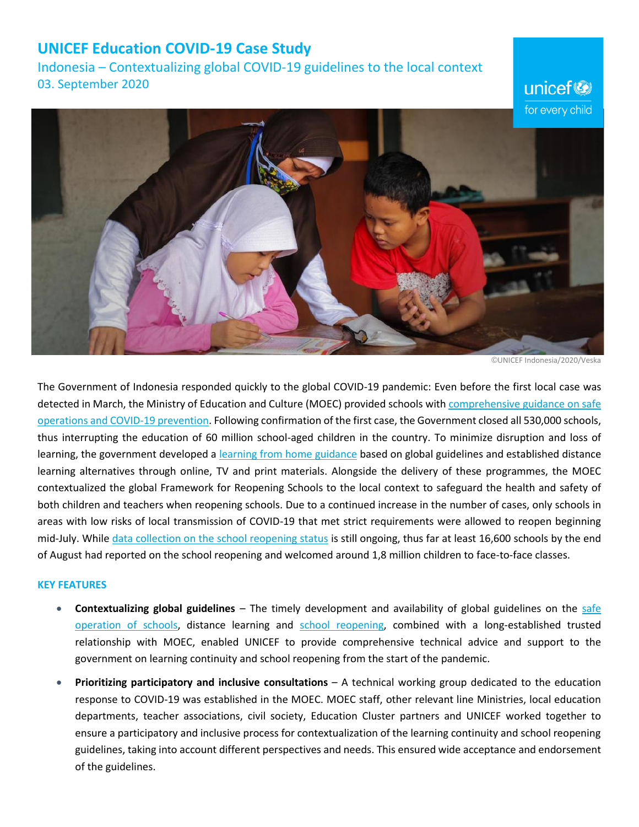## **UNICEF Education COVID-19 Case Study**

Indonesia – Contextualizing global COVID-19 guidelines to the local context 03. September 2020

for every child

©UNICEF Indonesia/2020/Veska

unicef<sup>®</sup>

The Government of Indonesia responded quickly to the global COVID-19 pandemic: Even before the first local case was detected in March, the Ministry of Education and Culture (MOEC) provided schools with [comprehensive guidance on safe](https://www.kemdikbud.go.id/main/blog/2020/03/surat-edaran-pencegahan-covid19-pada-satuan-pendidikan)  [operations and COVID-19 prevention.](https://www.kemdikbud.go.id/main/blog/2020/03/surat-edaran-pencegahan-covid19-pada-satuan-pendidikan) Following confirmation of the first case, the Government closed all 530,000 schools, thus interrupting the education of 60 million school-aged children in the country. To minimize disruption and loss of learning, the government developed a [learning from home guidance](https://www.kemdikbud.go.id/main/blog/2020/05/kemendikbud-terbitkan-pedoman-penyelenggaraan-belajar-dari-rumah) based on global guidelines and established distance learning alternatives through online, TV and print materials. Alongside the delivery of these programmes, the MOEC contextualized the global Framework for Reopening Schools to the local context to safeguard the health and safety of both children and teachers when reopening schools. Due to a continued increase in the number of cases, only schools in areas with low risks of local transmission of COVID-19 that met strict requirements were allowed to reopen beginning mid-July. While [data collection on the school reopening status](http://sekolah.data.kemdikbud.go.id/kesiapanbelajar/pbm) is still ongoing, thus far at least 16,600 schools by the end of August had reported on the school reopening and welcomed around 1,8 million children to face-to-face classes.

## **KEY FEATURES**

- **Contextualizing global guidelines** The timely development and availability of global guidelines on the [safe](https://www.unicef.org/media/66216/file/Key%20Messages%20and%20Actions%20for%20COVID-19%20Prevention%20and%20Control%20in%20Schools_March%202020.pdf)  [operation of schools,](https://www.unicef.org/media/66216/file/Key%20Messages%20and%20Actions%20for%20COVID-19%20Prevention%20and%20Control%20in%20Schools_March%202020.pdf) distance learning and [school reopening,](https://www.unicef.org/media/71366/file/Framework-for-reopening-schools-2020.pdf) combined with a long-established trusted relationship with MOEC, enabled UNICEF to provide comprehensive technical advice and support to the government on learning continuity and school reopening from the start of the pandemic.
- **Prioritizing participatory and inclusive consultations** A technical working group dedicated to the education response to COVID-19 was established in the MOEC. MOEC staff, other relevant line Ministries, local education departments, teacher associations, civil society, Education Cluster partners and UNICEF worked together to ensure a participatory and inclusive process for contextualization of the learning continuity and school reopening guidelines, taking into account different perspectives and needs. This ensured wide acceptance and endorsement of the guidelines.